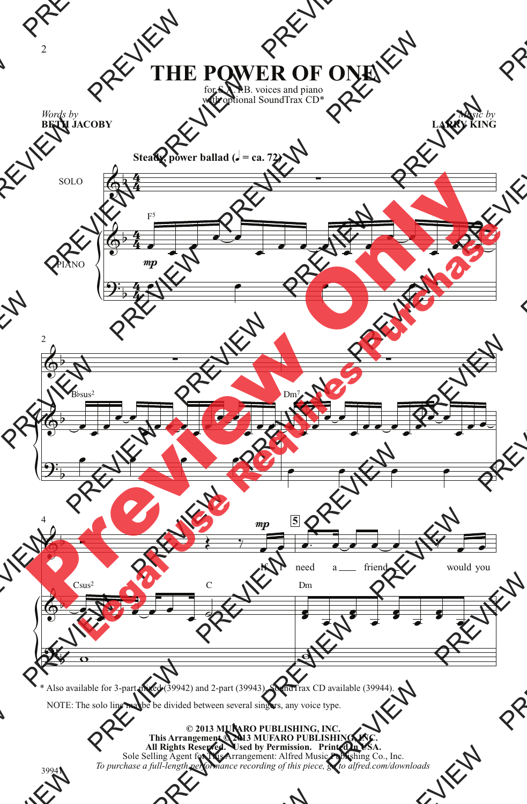## **THE POWER OF ONE**

for S.A.T.B. voices and piano with optional SoundTrax CD\*

*Words by* **BETH JACOBY**

*Music by* **LARRY KING**



\* Also available for 3-part mixed (39942) and 2-part (39943). SoundTrax CD available (39944).

NOTE: The solo line maybe be divided between several singers, any voice type.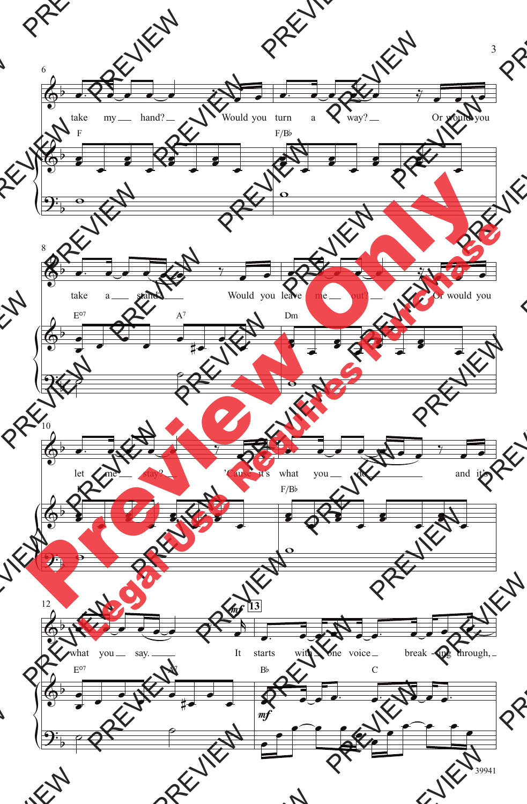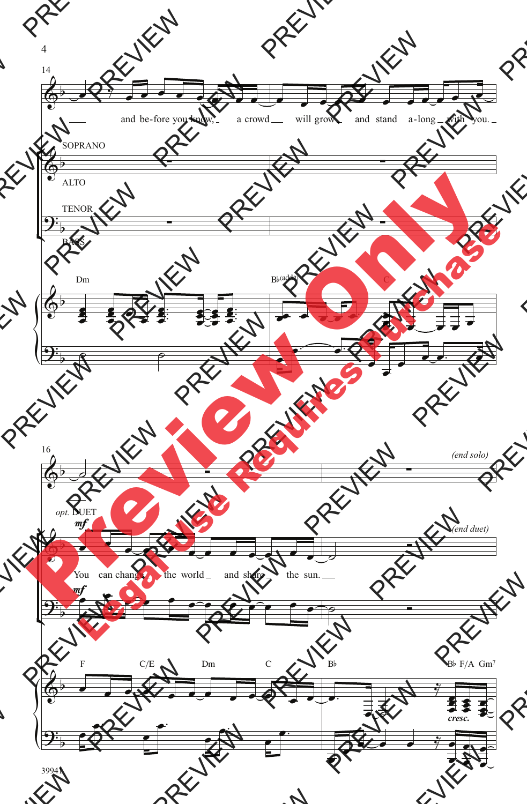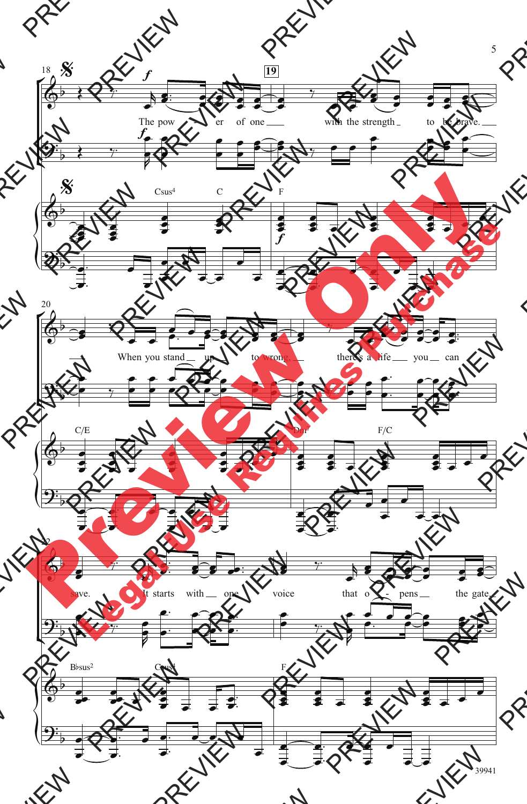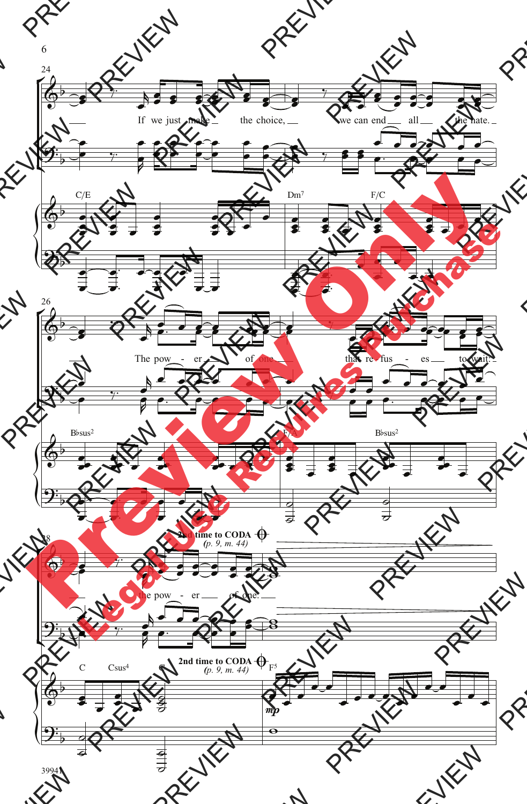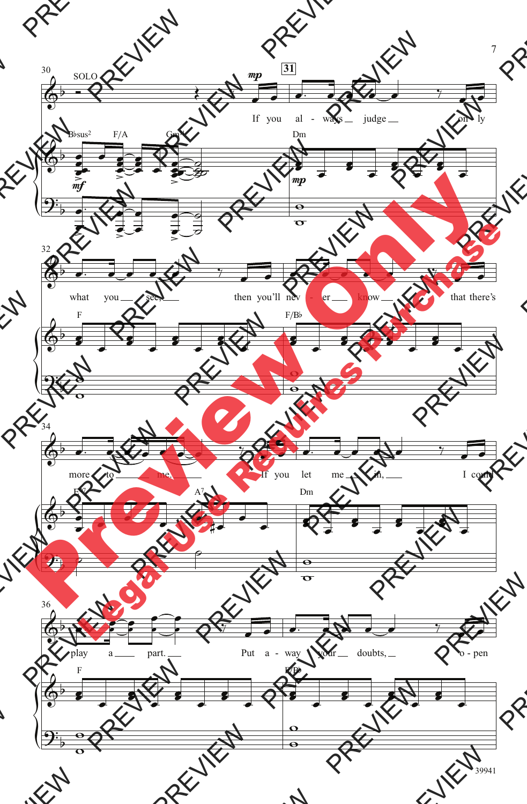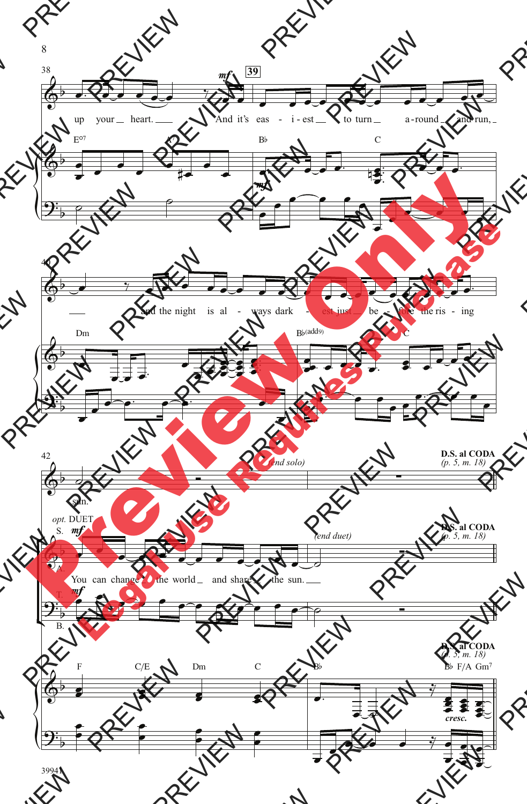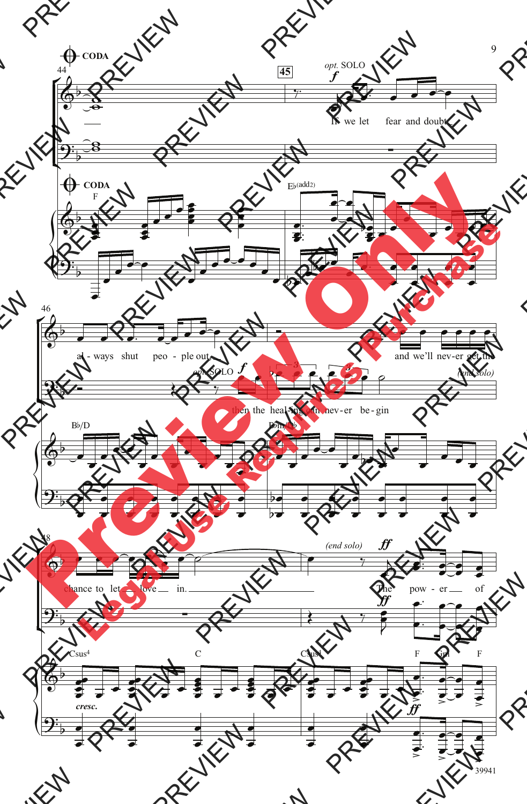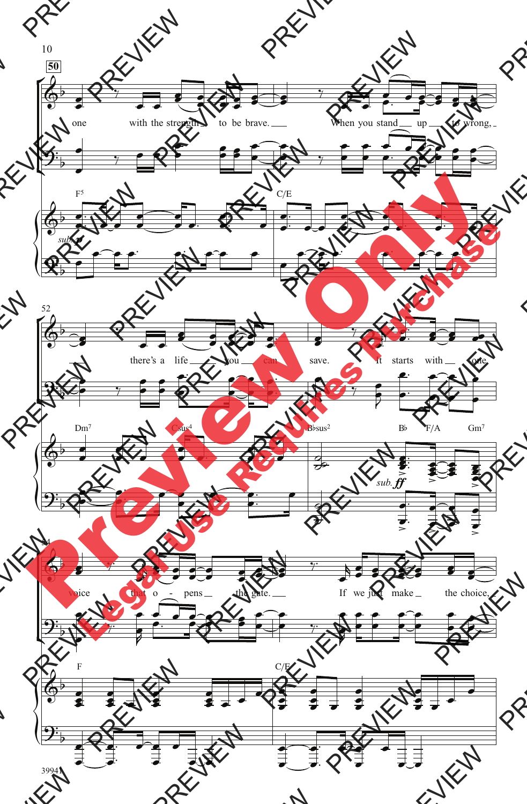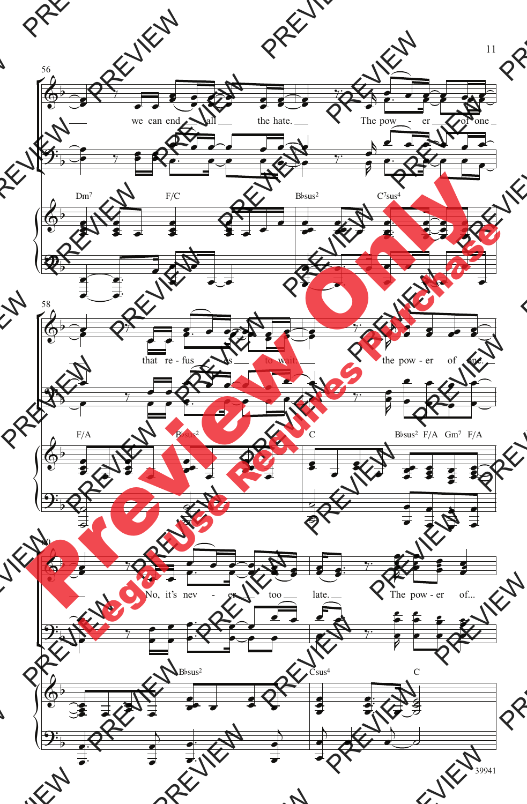